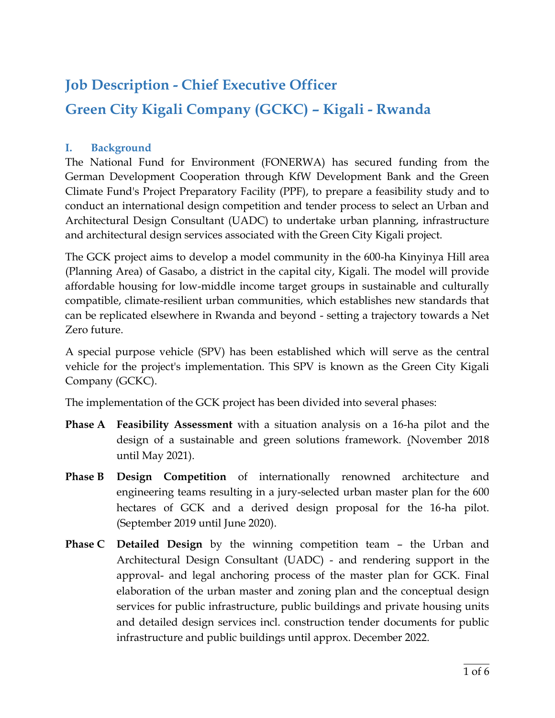# **Job Description - Chief Executive Officer Green City Kigali Company (GCKC) – Kigali - Rwanda**

#### **I. Background**

The National Fund for Environment (FONERWA) has secured funding from the German Development Cooperation through KfW Development Bank and the Green Climate Fund's Project Preparatory Facility (PPF), to prepare a feasibility study and to conduct an international design competition and tender process to select an Urban and Architectural Design Consultant (UADC) to undertake urban planning, infrastructure and architectural design services associated with the Green City Kigali project.

The GCK project aims to develop a model community in the 600-ha Kinyinya Hill area (Planning Area) of Gasabo, a district in the capital city, Kigali. The model will provide affordable housing for low-middle income target groups in sustainable and culturally compatible, climate-resilient urban communities, which establishes new standards that can be replicated elsewhere in Rwanda and beyond - setting a trajectory towards a Net Zero future.

A special purpose vehicle (SPV) has been established which will serve as the central vehicle for the project's implementation. This SPV is known as the Green City Kigali Company (GCKC).

The implementation of the GCK project has been divided into several phases:

- **Phase A Feasibility Assessment** with a situation analysis on a 16-ha pilot and the design of a sustainable and green solutions framework. (November 2018 until May 2021).
- **Phase B Design Competition** of internationally renowned architecture and engineering teams resulting in a jury-selected urban master plan for the 600 hectares of GCK and a derived design proposal for the 16-ha pilot. (September 2019 until June 2020).
- **Phase C Detailed Design** by the winning competition team the Urban and Architectural Design Consultant (UADC) - and rendering support in the approval- and legal anchoring process of the master plan for GCK. Final elaboration of the urban master and zoning plan and the conceptual design services for public infrastructure, public buildings and private housing units and detailed design services incl. construction tender documents for public infrastructure and public buildings until approx. December 2022.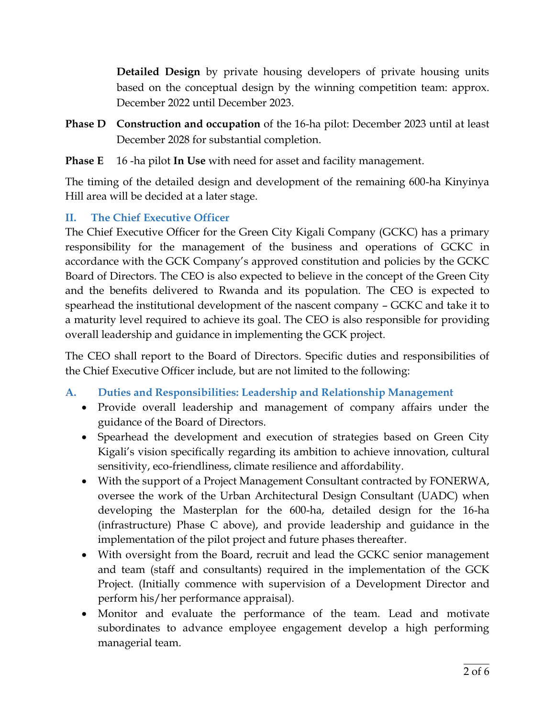**Detailed Design** by private housing developers of private housing units based on the conceptual design by the winning competition team: approx. December 2022 until December 2023.

- **Phase D Construction and occupation** of the 16-ha pilot: December 2023 until at least December 2028 for substantial completion.
- **Phase E** 16 -ha pilot **In Use** with need for asset and facility management.

The timing of the detailed design and development of the remaining 600-ha Kinyinya Hill area will be decided at a later stage.

#### **II. The Chief Executive Officer**

The Chief Executive Officer for the Green City Kigali Company (GCKC) has a primary responsibility for the management of the business and operations of GCKC in accordance with the GCK Company's approved constitution and policies by the GCKC Board of Directors. The CEO is also expected to believe in the concept of the Green City and the benefits delivered to Rwanda and its population. The CEO is expected to spearhead the institutional development of the nascent company – GCKC and take it to a maturity level required to achieve its goal. The CEO is also responsible for providing overall leadership and guidance in implementing the GCK project.

The CEO shall report to the Board of Directors. Specific duties and responsibilities of the Chief Executive Officer include, but are not limited to the following:

- **A. Duties and Responsibilities: Leadership and Relationship Management**
	- Provide overall leadership and management of company affairs under the guidance of the Board of Directors.
	- Spearhead the development and execution of strategies based on Green City Kigali's vision specifically regarding its ambition to achieve innovation, cultural sensitivity, eco-friendliness, climate resilience and affordability.
	- With the support of a Project Management Consultant contracted by FONERWA, oversee the work of the Urban Architectural Design Consultant (UADC) when developing the Masterplan for the 600-ha, detailed design for the 16-ha (infrastructure) Phase C above), and provide leadership and guidance in the implementation of the pilot project and future phases thereafter.
	- With oversight from the Board, recruit and lead the GCKC senior management and team (staff and consultants) required in the implementation of the GCK Project. (Initially commence with supervision of a Development Director and perform his/her performance appraisal).
	- Monitor and evaluate the performance of the team. Lead and motivate subordinates to advance employee engagement develop a high performing managerial team.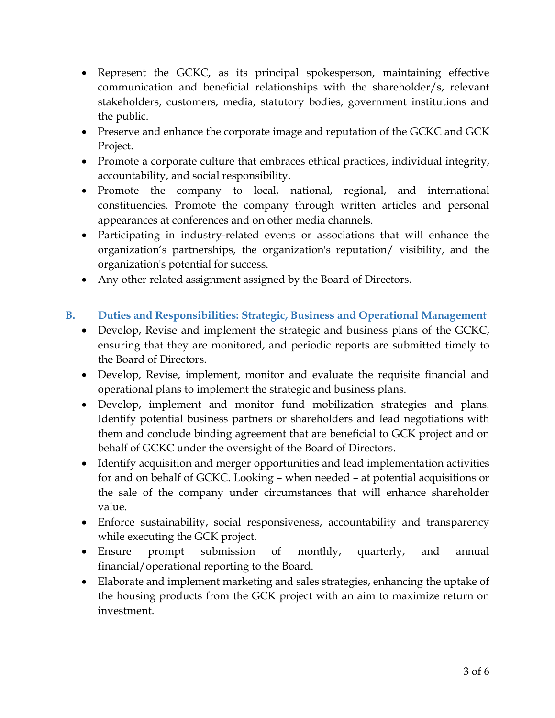- Represent the GCKC, as its principal spokesperson, maintaining effective communication and beneficial relationships with the shareholder/s, relevant stakeholders, customers, media, statutory bodies, government institutions and the public.
- Preserve and enhance the corporate image and reputation of the GCKC and GCK Project.
- Promote a corporate culture that embraces ethical practices, individual integrity, accountability, and social responsibility.
- Promote the company to local, national, regional, and international constituencies. Promote the company through written articles and personal appearances at conferences and on other media channels.
- Participating in industry-related events or associations that will enhance the organization's partnerships, the organization's reputation/ visibility, and the organization's potential for success.
- Any other related assignment assigned by the Board of Directors.

## **B. Duties and Responsibilities: Strategic, Business and Operational Management**

- Develop, Revise and implement the strategic and business plans of the GCKC, ensuring that they are monitored, and periodic reports are submitted timely to the Board of Directors.
- Develop, Revise, implement, monitor and evaluate the requisite financial and operational plans to implement the strategic and business plans.
- Develop, implement and monitor fund mobilization strategies and plans. Identify potential business partners or shareholders and lead negotiations with them and conclude binding agreement that are beneficial to GCK project and on behalf of GCKC under the oversight of the Board of Directors.
- Identify acquisition and merger opportunities and lead implementation activities for and on behalf of GCKC. Looking – when needed – at potential acquisitions or the sale of the company under circumstances that will enhance shareholder value.
- Enforce sustainability, social responsiveness, accountability and transparency while executing the GCK project.
- Ensure prompt submission of monthly, quarterly, and annual financial/operational reporting to the Board.
- Elaborate and implement marketing and sales strategies, enhancing the uptake of the housing products from the GCK project with an aim to maximize return on investment.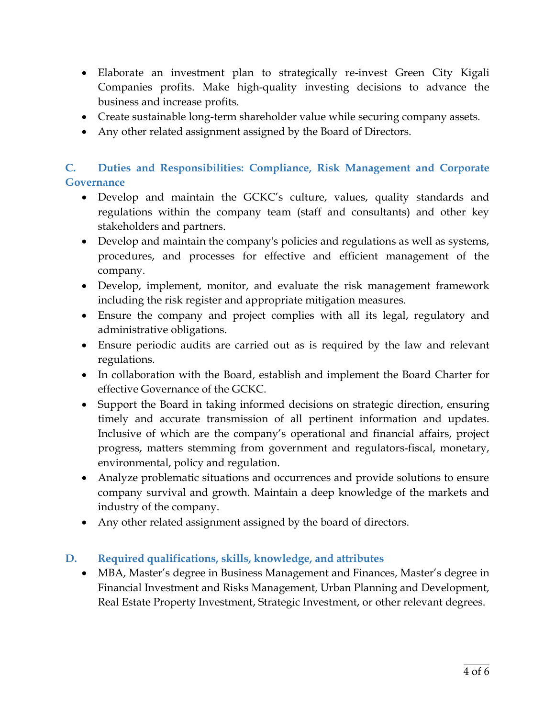- Elaborate an investment plan to strategically re-invest Green City Kigali Companies profits. Make high-quality investing decisions to advance the business and increase profits.
- Create sustainable long-term shareholder value while securing company assets.
- Any other related assignment assigned by the Board of Directors.

## **C. Duties and Responsibilities: Compliance, Risk Management and Corporate Governance**

- Develop and maintain the GCKC's culture, values, quality standards and regulations within the company team (staff and consultants) and other key stakeholders and partners.
- Develop and maintain the company's policies and regulations as well as systems, procedures, and processes for effective and efficient management of the company.
- Develop, implement, monitor, and evaluate the risk management framework including the risk register and appropriate mitigation measures.
- Ensure the company and project complies with all its legal, regulatory and administrative obligations.
- Ensure periodic audits are carried out as is required by the law and relevant regulations.
- In collaboration with the Board, establish and implement the Board Charter for effective Governance of the GCKC.
- Support the Board in taking informed decisions on strategic direction, ensuring timely and accurate transmission of all pertinent information and updates. Inclusive of which are the company's operational and financial affairs, project progress, matters stemming from government and regulators-fiscal, monetary, environmental, policy and regulation.
- Analyze problematic situations and occurrences and provide solutions to ensure company survival and growth. Maintain a deep knowledge of the markets and industry of the company.
- Any other related assignment assigned by the board of directors.

#### **D. Required qualifications, skills, knowledge, and attributes**

 MBA, Master's degree in Business Management and Finances, Master's degree in Financial Investment and Risks Management, Urban Planning and Development, Real Estate Property Investment, Strategic Investment, or other relevant degrees.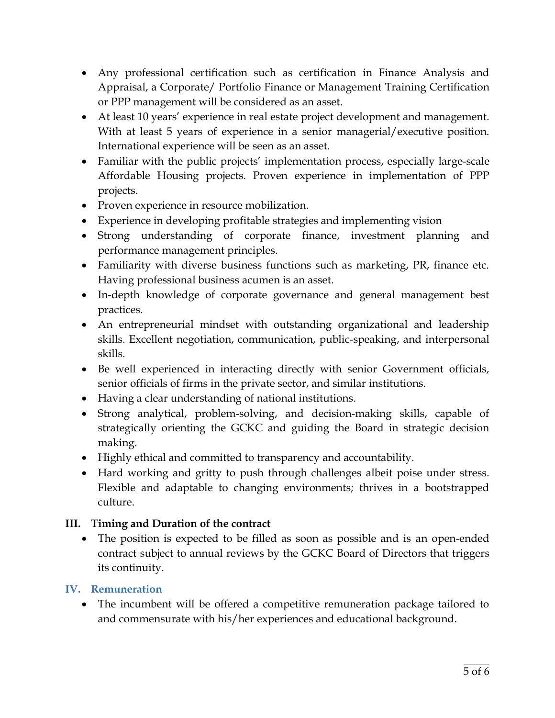- Any professional certification such as certification in Finance Analysis and Appraisal, a Corporate/ Portfolio Finance or Management Training Certification or PPP management will be considered as an asset.
- At least 10 years' experience in real estate project development and management. With at least 5 years of experience in a senior managerial/executive position. International experience will be seen as an asset.
- Familiar with the public projects' implementation process, especially large-scale Affordable Housing projects. Proven experience in implementation of PPP projects.
- Proven experience in resource mobilization.
- Experience in developing profitable strategies and implementing vision
- Strong understanding of corporate finance, investment planning and performance management principles.
- Familiarity with diverse business functions such as marketing, PR, finance etc. Having professional business acumen is an asset.
- In-depth knowledge of corporate governance and general management best practices.
- An entrepreneurial mindset with outstanding organizational and leadership skills. Excellent negotiation, communication, public-speaking, and interpersonal skills.
- Be well experienced in interacting directly with senior Government officials, senior officials of firms in the private sector, and similar institutions.
- Having a clear understanding of national institutions.
- Strong analytical, problem-solving, and decision-making skills, capable of strategically orienting the GCKC and guiding the Board in strategic decision making.
- Highly ethical and committed to transparency and accountability.
- Hard working and gritty to push through challenges albeit poise under stress. Flexible and adaptable to changing environments; thrives in a bootstrapped culture.

## **III. Timing and Duration of the contract**

 The position is expected to be filled as soon as possible and is an open-ended contract subject to annual reviews by the GCKC Board of Directors that triggers its continuity.

## **IV. Remuneration**

 The incumbent will be offered a competitive remuneration package tailored to and commensurate with his/her experiences and educational background.